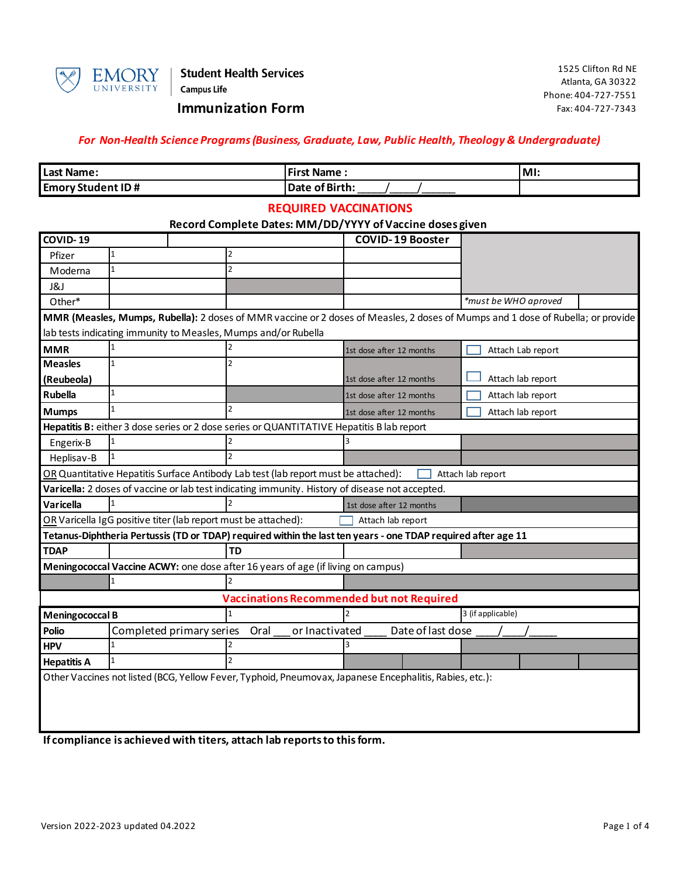

**Student Health Services Campus Life** 

## **Immunization Form**

### *For Non-Health Science Programs (Business, Graduate, Law, Public Health, Theology & Undergraduate)*

| Last Name:               | <b>First Name:</b> | IMI: |
|--------------------------|--------------------|------|
| <b>Emory Student ID#</b> | Date of Birth:     |      |

#### **REQUIRED VACCINATIONS**

### **Record Complete Dates: MM/DD/YYYY of Vaccine doses given**

| COVID-19                                                                                                |                                                                                                                                 |                |      |                | <u>necora complete Dates. Mivi/DD/TTTT01 vaccine aoses given</u> | <b>COVID-19 Booster</b> |                      |                   |  |
|---------------------------------------------------------------------------------------------------------|---------------------------------------------------------------------------------------------------------------------------------|----------------|------|----------------|------------------------------------------------------------------|-------------------------|----------------------|-------------------|--|
| Pfizer                                                                                                  | 1                                                                                                                               | 2              |      |                |                                                                  |                         |                      |                   |  |
| Moderna                                                                                                 | $\mathbf{1}$                                                                                                                    | $\overline{2}$ |      |                |                                                                  |                         |                      |                   |  |
| J&J                                                                                                     |                                                                                                                                 |                |      |                |                                                                  |                         |                      |                   |  |
| Other*                                                                                                  |                                                                                                                                 |                |      |                |                                                                  |                         | *must be WHO aproved |                   |  |
|                                                                                                         | MMR (Measles, Mumps, Rubella): 2 doses of MMR vaccine or 2 doses of Measles, 2 doses of Mumps and 1 dose of Rubella; or provide |                |      |                |                                                                  |                         |                      |                   |  |
|                                                                                                         | lab tests indicating immunity to Measles, Mumps and/or Rubella                                                                  |                |      |                |                                                                  |                         |                      |                   |  |
| <b>MMR</b>                                                                                              |                                                                                                                                 |                |      |                | 1st dose after 12 months                                         |                         |                      | Attach Lab report |  |
| <b>Measles</b>                                                                                          | $\mathbf{1}$                                                                                                                    | $\overline{2}$ |      |                |                                                                  |                         |                      |                   |  |
| (Reubeola)                                                                                              |                                                                                                                                 |                |      |                | 1st dose after 12 months                                         |                         |                      | Attach lab report |  |
| <b>Rubella</b>                                                                                          | $\mathbf{1}$                                                                                                                    |                |      |                | 1st dose after 12 months                                         |                         |                      | Attach lab report |  |
| <b>Mumps</b>                                                                                            |                                                                                                                                 |                |      |                | 1st dose after 12 months                                         |                         |                      | Attach lab report |  |
|                                                                                                         | Hepatitis B: either 3 dose series or 2 dose series or QUANTITATIVE Hepatitis B lab report                                       |                |      |                |                                                                  |                         |                      |                   |  |
| Engerix-B                                                                                               |                                                                                                                                 |                |      |                |                                                                  |                         |                      |                   |  |
| Heplisav-B                                                                                              |                                                                                                                                 |                |      |                |                                                                  |                         |                      |                   |  |
|                                                                                                         | OR Quantitative Hepatitis Surface Antibody Lab test (lab report must be attached):                                              |                |      |                |                                                                  |                         | Attach lab report    |                   |  |
|                                                                                                         | Varicella: 2 doses of vaccine or lab test indicating immunity. History of disease not accepted.                                 |                |      |                |                                                                  |                         |                      |                   |  |
| <b>Varicella</b>                                                                                        |                                                                                                                                 |                |      |                | 1st dose after 12 months                                         |                         |                      |                   |  |
|                                                                                                         | OR Varicella IgG positive titer (lab report must be attached):<br>Attach lab report                                             |                |      |                |                                                                  |                         |                      |                   |  |
|                                                                                                         | Tetanus-Diphtheria Pertussis (TD or TDAP) required within the last ten years - one TDAP required after age 11                   |                |      |                |                                                                  |                         |                      |                   |  |
| <b>TDAP</b>                                                                                             |                                                                                                                                 | <b>TD</b>      |      |                |                                                                  |                         |                      |                   |  |
|                                                                                                         | Meningococcal Vaccine ACWY: one dose after 16 years of age (if living on campus)                                                |                |      |                |                                                                  |                         |                      |                   |  |
|                                                                                                         | $\mathbf{1}$                                                                                                                    |                |      |                |                                                                  |                         |                      |                   |  |
|                                                                                                         |                                                                                                                                 |                |      |                | <b>Vaccinations Recommended but not Required</b>                 |                         |                      |                   |  |
| <b>Meningococcal B</b>                                                                                  |                                                                                                                                 |                |      |                |                                                                  | 3 (if applicable)       |                      |                   |  |
| <b>Polio</b>                                                                                            | Completed primary series                                                                                                        |                | Oral | or Inactivated |                                                                  | Date of last dose       |                      |                   |  |
| <b>HPV</b>                                                                                              | $\mathbf{1}$                                                                                                                    |                |      |                |                                                                  |                         |                      |                   |  |
| <b>Hepatitis A</b>                                                                                      | $\mathbf{1}$                                                                                                                    |                |      |                |                                                                  |                         |                      |                   |  |
| Other Vaccines not listed (BCG, Yellow Fever, Typhoid, Pneumovax, Japanese Encephalitis, Rabies, etc.): |                                                                                                                                 |                |      |                |                                                                  |                         |                      |                   |  |
|                                                                                                         |                                                                                                                                 |                |      |                |                                                                  |                         |                      |                   |  |

**If compliance is achieved with titers, attach lab reports to this form.**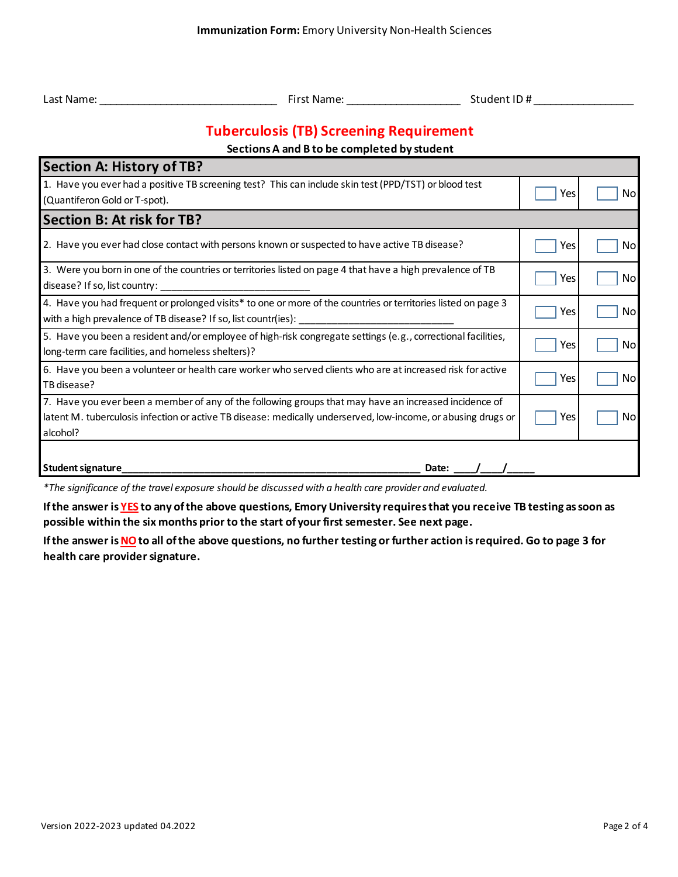| Last Name: |
|------------|
|            |

Last Name: \_\_\_\_\_\_\_\_\_\_\_\_\_\_\_\_\_\_\_\_\_\_\_\_\_\_\_\_\_\_\_\_ First Name: \_\_\_\_\_\_\_\_\_\_\_\_\_\_\_\_\_\_\_\_\_\_\_\_\_ Student ID # \_\_\_\_\_\_\_\_\_\_\_\_\_\_\_\_\_\_

# **Tuberculosis (TB) Screening Requirement**

## **Sections A and B to be completed by student**

| <b>Section A: History of TB?</b>                                                                                                                                                                                                   |     |     |
|------------------------------------------------------------------------------------------------------------------------------------------------------------------------------------------------------------------------------------|-----|-----|
| 1. Have you ever had a positive TB screening test? This can include skin test (PPD/TST) or blood test<br>(Quantiferon Gold or T-spot).                                                                                             | Yes | Nol |
| <b>Section B: At risk for TB?</b>                                                                                                                                                                                                  |     |     |
| 2. Have you ever had close contact with persons known or suspected to have active TB disease?                                                                                                                                      | Yes | Nol |
| 3. Were you born in one of the countries or territories listed on page 4 that have a high prevalence of TB<br>disease? If so, list country:                                                                                        | Yes | No  |
| 4. Have you had frequent or prolonged visits* to one or more of the countries or territories listed on page 3<br>with a high prevalence of TB disease? If so, list countr(ies):                                                    | Yes | No  |
| 5. Have you been a resident and/or employee of high-risk congregate settings (e.g., correctional facilities,<br>long-term care facilities, and homeless shelters)?                                                                 | Yes | Nol |
| 6. Have you been a volunteer or health care worker who served clients who are at increased risk for active<br>TB disease?                                                                                                          | Yes | No  |
| 7. Have you ever been a member of any of the following groups that may have an increased incidence of<br>latent M. tuberculosis infection or active TB disease: medically underserved, low-income, or abusing drugs or<br>alcohol? | Yes | No  |
| Student signature<br>Date:                                                                                                                                                                                                         |     |     |

*\*The significance of the travel exposure should be discussed with a health care provider and evaluated.*

**If the answer is YES to any of the above questions, Emory University requires that you receive TB testing as soon as possible within the six months prior to the start of your first semester. See next page.**

**If the answer is NO to all of the above questions, no further testing or further action is required. Go to page 3 for health care provider signature.**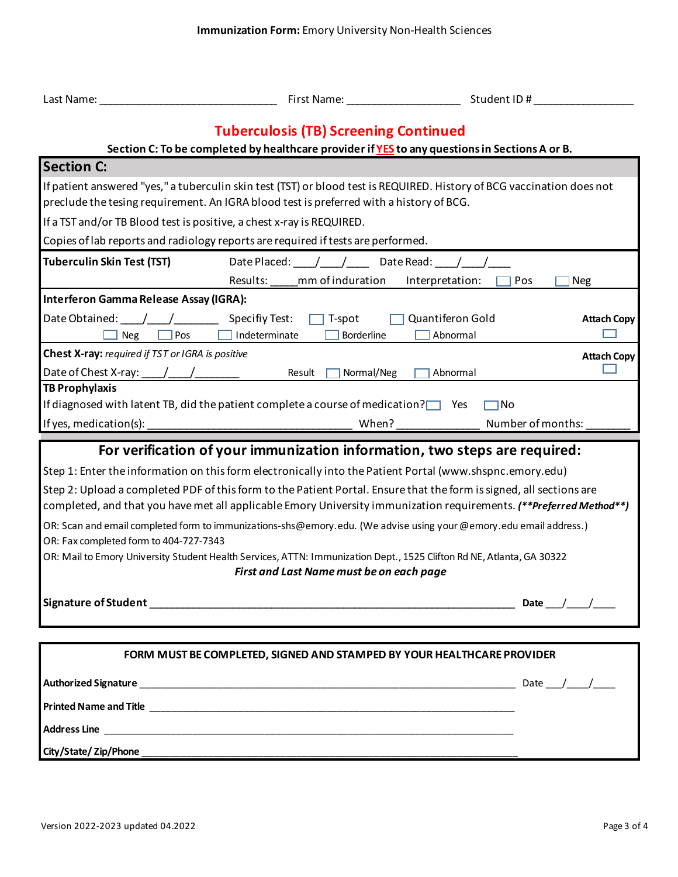| Last Name:                                                                                                                                                                                                                                | First Name: Name: Name and Separate School and Separate School and Separate School and Separate School and Separate School and Separate School and Separate School and Separate School and Separate School and Separate School | Student ID #                                                                                                           |  |  |  |  |
|-------------------------------------------------------------------------------------------------------------------------------------------------------------------------------------------------------------------------------------------|--------------------------------------------------------------------------------------------------------------------------------------------------------------------------------------------------------------------------------|------------------------------------------------------------------------------------------------------------------------|--|--|--|--|
|                                                                                                                                                                                                                                           | <b>Tuberculosis (TB) Screening Continued</b>                                                                                                                                                                                   |                                                                                                                        |  |  |  |  |
| Section C: To be completed by healthcare provider if YES to any questions in Sections A or B.                                                                                                                                             |                                                                                                                                                                                                                                |                                                                                                                        |  |  |  |  |
| <b>Section C:</b>                                                                                                                                                                                                                         |                                                                                                                                                                                                                                |                                                                                                                        |  |  |  |  |
|                                                                                                                                                                                                                                           | preclude the tesing requirement. An IGRA blood test is preferred with a history of BCG.                                                                                                                                        | If patient answered "yes," a tuberculin skin test (TST) or blood test is REQUIRED. History of BCG vaccination does not |  |  |  |  |
| If a TST and/or TB Blood test is positive, a chest x-ray is REQUIRED.                                                                                                                                                                     |                                                                                                                                                                                                                                |                                                                                                                        |  |  |  |  |
|                                                                                                                                                                                                                                           | Copies of lab reports and radiology reports are required if tests are performed.                                                                                                                                               |                                                                                                                        |  |  |  |  |
| <b>Tuberculin Skin Test (TST)</b>                                                                                                                                                                                                         | Date Placed: / / Date Read: / /<br>Results: mm of induration                                                                                                                                                                   | Interpretation:<br>Pos<br>Neg                                                                                          |  |  |  |  |
| Interferon Gamma Release Assay (IGRA):                                                                                                                                                                                                    |                                                                                                                                                                                                                                |                                                                                                                        |  |  |  |  |
| Date Obtained: / /<br><b>Neg</b><br>$\Box$ Pos                                                                                                                                                                                            | Specifiy Test:<br>T-spot<br>$\Box$ Indeterminate<br>Borderline                                                                                                                                                                 | Quantiferon Gold<br><b>Attach Copy</b><br>Abnormal                                                                     |  |  |  |  |
| Chest X-ray: required if TST or IGRA is positive                                                                                                                                                                                          |                                                                                                                                                                                                                                | <b>Attach Copy</b>                                                                                                     |  |  |  |  |
|                                                                                                                                                                                                                                           | Result<br>Normal/Neg                                                                                                                                                                                                           | Abnormal                                                                                                               |  |  |  |  |
| <b>TB Prophylaxis</b>                                                                                                                                                                                                                     |                                                                                                                                                                                                                                |                                                                                                                        |  |  |  |  |
|                                                                                                                                                                                                                                           | If diagnosed with latent TB, did the patient complete a course of medication? $\Box$ Yes                                                                                                                                       | $\Box$ No                                                                                                              |  |  |  |  |
| If yes, medication(s):                                                                                                                                                                                                                    |                                                                                                                                                                                                                                | Number of months:<br>When?                                                                                             |  |  |  |  |
|                                                                                                                                                                                                                                           | For verification of your immunization information, two steps are required:                                                                                                                                                     |                                                                                                                        |  |  |  |  |
|                                                                                                                                                                                                                                           | Step 1: Enter the information on this form electronically into the Patient Portal (www.shspnc.emory.edu)                                                                                                                       |                                                                                                                        |  |  |  |  |
| Step 2: Upload a completed PDF of this form to the Patient Portal. Ensure that the form is signed, all sections are<br>completed, and that you have met all applicable Emory University immunization requirements. (**Preferred Method**) |                                                                                                                                                                                                                                |                                                                                                                        |  |  |  |  |
| OR: Fax completed form to 404-727-7343                                                                                                                                                                                                    | OR: Scan and email completed form to immunizations-shs@emory.edu. (We advise using your @emory.edu email address.)                                                                                                             |                                                                                                                        |  |  |  |  |
|                                                                                                                                                                                                                                           | OR: Mail to Emory University Student Health Services, ATTN: Immunization Dept., 1525 Clifton Rd NE, Atlanta, GA 30322                                                                                                          |                                                                                                                        |  |  |  |  |
|                                                                                                                                                                                                                                           | First and Last Name must be on each page                                                                                                                                                                                       |                                                                                                                        |  |  |  |  |
|                                                                                                                                                                                                                                           |                                                                                                                                                                                                                                | Date $\frac{1}{\sqrt{2}}$                                                                                              |  |  |  |  |
|                                                                                                                                                                                                                                           |                                                                                                                                                                                                                                |                                                                                                                        |  |  |  |  |
| FORM MUST BE COMPLETED, SIGNED AND STAMPED BY YOUR HEALTHCARE PROVIDER                                                                                                                                                                    |                                                                                                                                                                                                                                |                                                                                                                        |  |  |  |  |
|                                                                                                                                                                                                                                           |                                                                                                                                                                                                                                |                                                                                                                        |  |  |  |  |
|                                                                                                                                                                                                                                           |                                                                                                                                                                                                                                |                                                                                                                        |  |  |  |  |
|                                                                                                                                                                                                                                           |                                                                                                                                                                                                                                |                                                                                                                        |  |  |  |  |
|                                                                                                                                                                                                                                           |                                                                                                                                                                                                                                |                                                                                                                        |  |  |  |  |